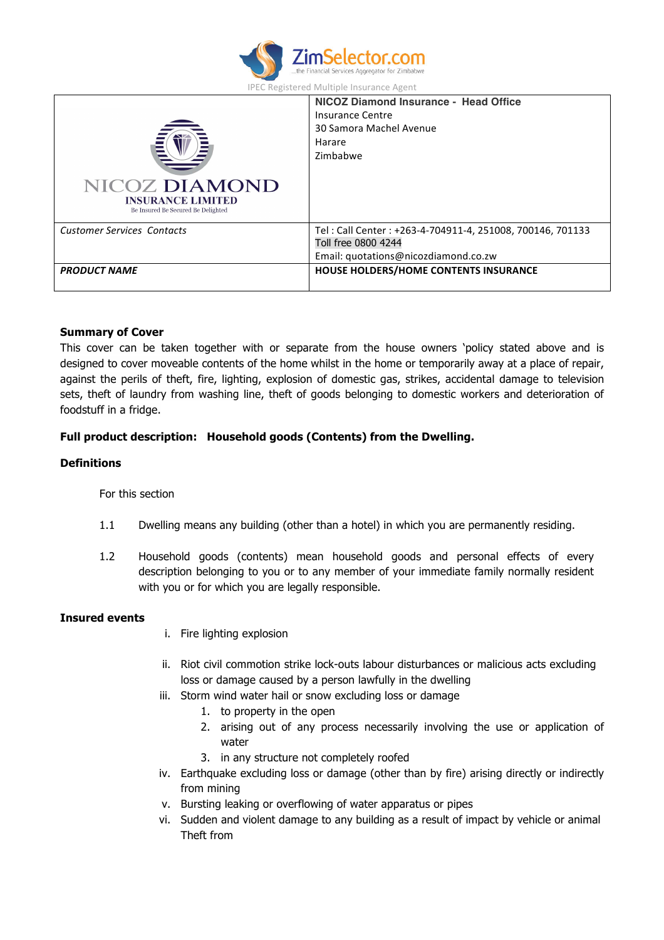

| <b>IPEC Registered Multiple Insurance Agent</b> |  |  |  |  |  |  |
|-------------------------------------------------|--|--|--|--|--|--|
|-------------------------------------------------|--|--|--|--|--|--|

| <b>NICOZ DIAMOND</b><br><b>INSURANCE LIMITED</b><br>Be Insured Be Secured Be Delighted | NICOZ Diamond Insurance - Head Office<br>Insurance Centre<br>30 Samora Machel Avenue<br>Harare<br>Zimbabwe               |  |
|----------------------------------------------------------------------------------------|--------------------------------------------------------------------------------------------------------------------------|--|
| <b>Customer Services Contacts</b>                                                      | Tel: Call Center: +263-4-704911-4, 251008, 700146, 701133<br>Toll free 0800 4244<br>Email: quotations@nicozdiamond.co.zw |  |
| <b>PRODUCT NAME</b>                                                                    | HOUSE HOLDERS/HOME CONTENTS INSURANCE                                                                                    |  |

#### **Summary of Cover**

This cover can be taken together with or separate from the house owners 'policy stated above and is designed to cover moveable contents of the home whilst in the home or temporarily away at a place of repair, against the perils of theft, fire, lighting, explosion of domestic gas, strikes, accidental damage to television sets, theft of laundry from washing line, theft of goods belonging to domestic workers and deterioration of foodstuff in a fridge.

## **Full product description: Household goods (Contents) from the Dwelling.**

### **Definitions**

For this section

- 1.1 Dwelling means any building (other than a hotel) in which you are permanently residing.
- 1.2 Household goods (contents) mean household goods and personal effects of every description belonging to you or to any member of your immediate family normally resident with you or for which you are legally responsible.

### **Insured events**

- i. Fire lighting explosion
- ii. Riot civil commotion strike lock-outs labour disturbances or malicious acts excluding loss or damage caused by a person lawfully in the dwelling
- iii. Storm wind water hail or snow excluding loss or damage
	- 1. to property in the open
	- 2. arising out of any process necessarily involving the use or application of water
	- 3. in any structure not completely roofed
- iv. Earthquake excluding loss or damage (other than by fire) arising directly or indirectly from mining
- v. Bursting leaking or overflowing of water apparatus or pipes
- vi. Sudden and violent damage to any building as a result of impact by vehicle or animal Theft from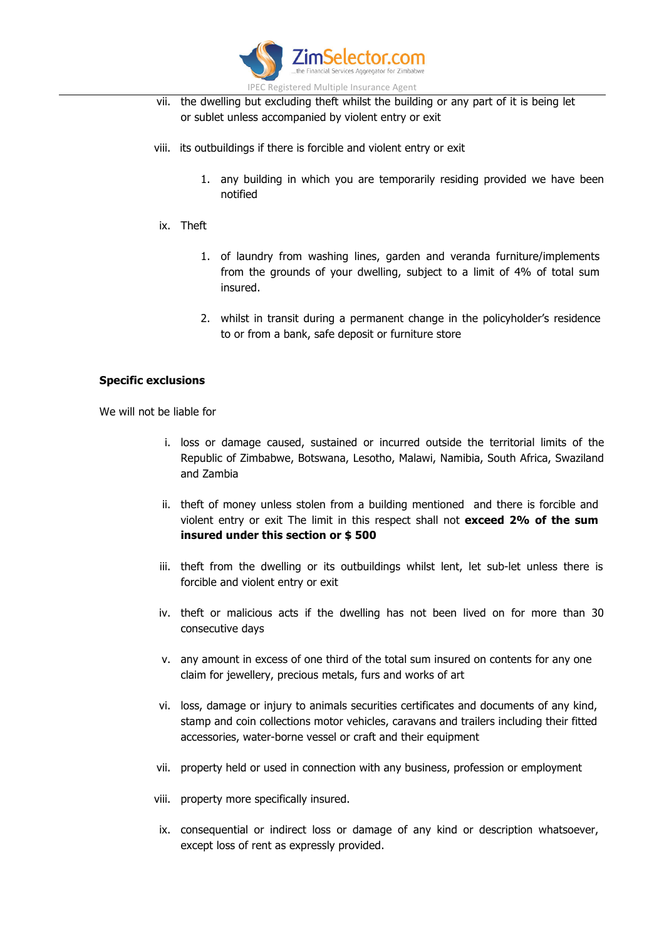

- vii. the dwelling but excluding theft whilst the building or any part of it is being let or sublet unless accompanied by violent entry or exit
- viii. its outbuildings if there is forcible and violent entry or exit
	- 1. any building in which you are temporarily residing provided we have been notified
- ix. Theft
	- 1. of laundry from washing lines, garden and veranda furniture/implements from the grounds of your dwelling, subject to a limit of 4% of total sum insured.
	- 2. whilst in transit during a permanent change in the policyholder's residence to or from a bank, safe deposit or furniture store

## **Specific exclusions**

We will not be liable for

- i. loss or damage caused, sustained or incurred outside the territorial limits of the Republic of Zimbabwe, Botswana, Lesotho, Malawi, Namibia, South Africa, Swaziland and Zambia
- ii. theft of money unless stolen from a building mentioned and there is forcible and violent entry or exit The limit in this respect shall not **exceed 2% of the sum insured under this section or \$ 500**
- iii. theft from the dwelling or its outbuildings whilst lent, let sub-let unless there is forcible and violent entry or exit
- iv. theft or malicious acts if the dwelling has not been lived on for more than 30 consecutive days
- v. any amount in excess of one third of the total sum insured on contents for any one claim for jewellery, precious metals, furs and works of art
- vi. loss, damage or injury to animals securities certificates and documents of any kind, stamp and coin collections motor vehicles, caravans and trailers including their fitted accessories, water-borne vessel or craft and their equipment
- vii. property held or used in connection with any business, profession or employment
- viii. property more specifically insured.
- ix. consequential or indirect loss or damage of any kind or description whatsoever, except loss of rent as expressly provided.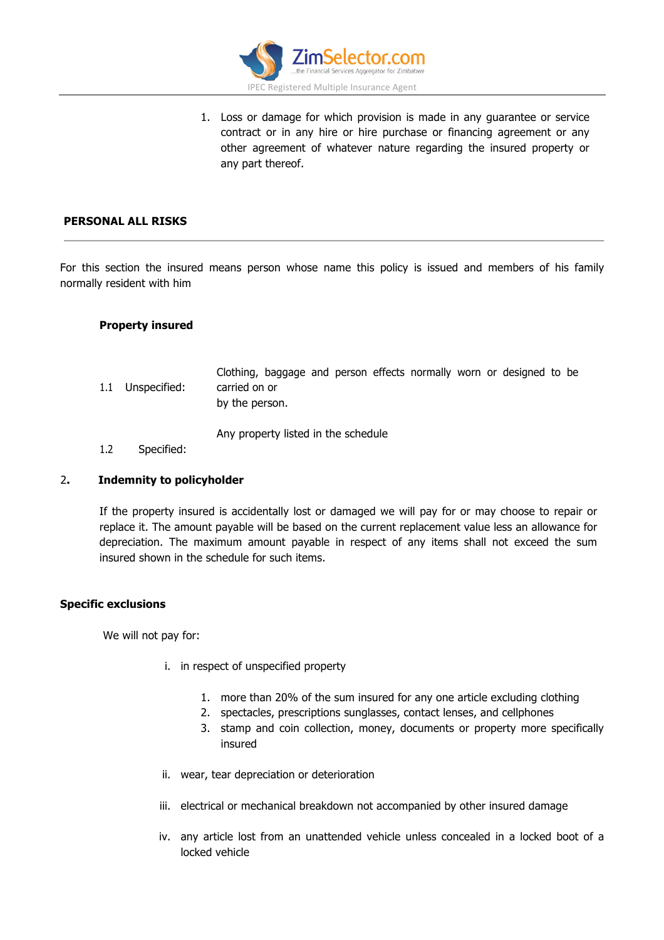

1. Loss or damage for which provision is made in any guarantee or service contract or in any hire or hire purchase or financing agreement or any other agreement of whatever nature regarding the insured property or any part thereof.

# **PERSONAL ALL RISKS**

For this section the insured means person whose name this policy is issued and members of his family normally resident with him

## **Property insured**

- 1.1 Unspecified: Clothing, baggage and person effects normally worn or designed to be carried on or by the person. Any property listed in the schedule
- 1.2 Specified:

## 2**. Indemnity to policyholder**

If the property insured is accidentally lost or damaged we will pay for or may choose to repair or replace it. The amount payable will be based on the current replacement value less an allowance for depreciation. The maximum amount payable in respect of any items shall not exceed the sum insured shown in the schedule for such items.

## **Specific exclusions**

We will not pay for:

- i. in respect of unspecified property
	- 1. more than 20% of the sum insured for any one article excluding clothing
	- 2. spectacles, prescriptions sunglasses, contact lenses, and cellphones
	- 3. stamp and coin collection, money, documents or property more specifically insured
- ii. wear, tear depreciation or deterioration
- iii. electrical or mechanical breakdown not accompanied by other insured damage
- iv. any article lost from an unattended vehicle unless concealed in a locked boot of a locked vehicle